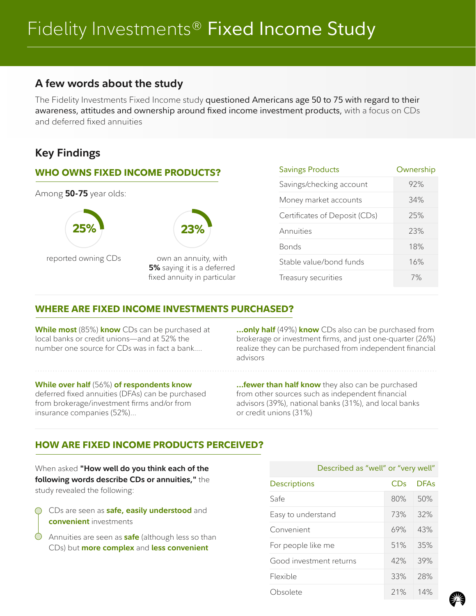# **A few words about the study**

The Fidelity Investments Fixed Income study questioned Americans age 50 to 75 with regard to their awareness, attitudes and ownership around fixed income investment products, with a focus on CDs and deferred fixed annuities

# **Key Findings**

## **WHO OWNS FIXED INCOME PRODUCTS?**



| <b>Savings Products</b>       | Ownership |
|-------------------------------|-----------|
| Savings/checking account      | 92%       |
| Money market accounts         | 34%       |
| Certificates of Deposit (CDs) | 25%       |
| Annuities                     | 23%       |
| Bonds                         | 18%       |
| Stable value/bond funds       | 16%       |
| Treasury securities           | 7%        |

## **WHERE ARE FIXED INCOME INVESTMENTS PURCHASED?**

**While most** (85%) **know** CDs can be purchased at local banks or credit unions—and at 52% the number one source for CDs was in fact a bank….

**…only half** (49%) **know** CDs also can be purchased from brokerage or investment firms, and just one-quarter (26%) realize they can be purchased from independent financial advisors

#### **While over half** (56%) **of respondents know**

deferred fixed annuities (DFAs) can be purchased from brokerage/investment firms and/or from insurance companies (52%)…

**…fewer than half know** they also can be purchased from other sources such as independent financial advisors (39%), national banks (31%), and local banks or credit unions (31%)

## **HOW ARE FIXED INCOME PRODUCTS PERCEIVED?**

When asked **"How well do you think each of the following words describe CDs or annuities,"** the study revealed the following:

- CDs are seen as **safe, easily understood** and **convenient** investments
- $\bigcirc$ Annuities are seen as **safe** (although less so than CDs) but **more complex** and **less convenient**

| Described as "well" or "very well" |     |             |  |  |
|------------------------------------|-----|-------------|--|--|
| <b>Descriptions</b>                | CDs | <b>DFAs</b> |  |  |
| Safe                               | 80% | 50%         |  |  |
| Easy to understand                 | 73% | 32%         |  |  |
| Convenient                         | 69% | 43%         |  |  |
| For people like me                 | 51% | 35%         |  |  |
| Good investment returns            | 42% | 39%         |  |  |
| Flexible                           | 33% | 28%         |  |  |
| Obsolete                           | 21% | 14%         |  |  |

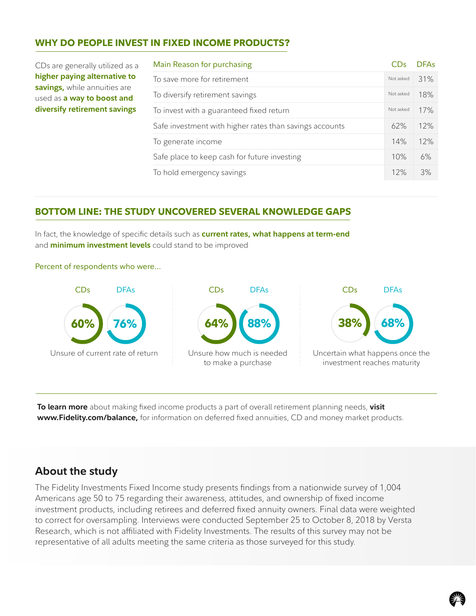## **WHY DO PEOPLE INVEST IN FIXED INCOME PRODUCTS?**

| CDs are generally utilized as a |  |  |
|---------------------------------|--|--|
| higher paying alternative to    |  |  |
| savings, while annuities are    |  |  |
| used as a way to boost and      |  |  |
| diversify retirement savings    |  |  |

| Main Reason for purchasing                              |           | <b>DFAs</b> |
|---------------------------------------------------------|-----------|-------------|
| To save more for retirement                             | Not asked | 31%         |
| To diversify retirement savings                         | Not asked | 18%         |
| To invest with a guaranteed fixed return                | Not asked | 17%         |
| Safe investment with higher rates than savings accounts | 62%       | 12%         |
| To generate income                                      | 14%       | 12%         |
| Safe place to keep cash for future investing            | 10%       | 6%          |
| To hold emergency savings                               | 12%       | 3%          |

## **BOTTOM LINE: THE STUDY UNCOVERED SEVERAL KNOWLEDGE GAPS**

In fact, the knowledge of specific details such as **current rates, what happens at term-end**  and **minimum investment levels** could stand to be improved



Percent of respondents who were...

**To learn more** about making fixed income products a part of overall retirement planning needs, **visit www.Fidelity.com/balance,** for information on deferred fixed annuities, CD and money market products.

# **About the study**

The Fidelity Investments Fixed Income study presents findings from a nationwide survey of 1,004 Americans age 50 to 75 regarding their awareness, attitudes, and ownership of fixed income investment products, including retirees and deferred fixed annuity owners. Final data were weighted to correct for oversampling. Interviews were conducted September 25 to October 8, 2018 by Versta Research, which is not affiliated with Fidelity Investments. The results of this survey may not be representative of all adults meeting the same criteria as those surveyed for this study.